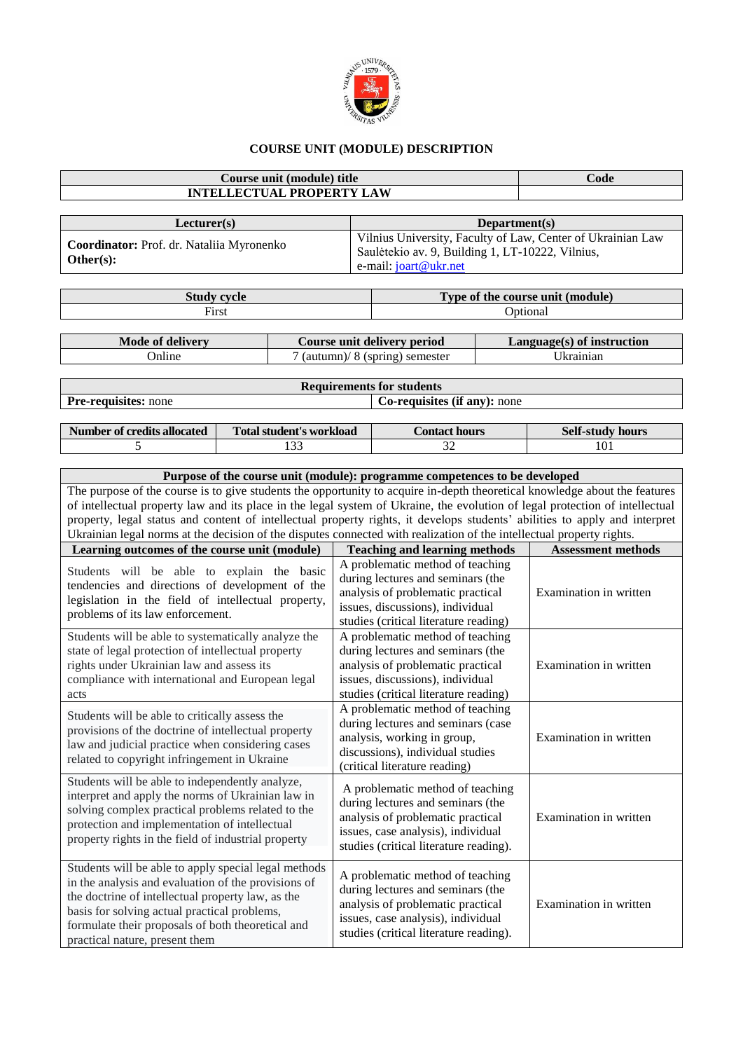

## **COURSE UNIT (MODULE) DESCRIPTION**

| <b>INTELLECTUAL PROPERTY LAW</b>                                                                                                                                                                                                                                                                        | Code                                                                                                                                                                                                                                                                                                                                                                                |  |                                                                                                                                                                                            |                        |                           |  |  |  |
|---------------------------------------------------------------------------------------------------------------------------------------------------------------------------------------------------------------------------------------------------------------------------------------------------------|-------------------------------------------------------------------------------------------------------------------------------------------------------------------------------------------------------------------------------------------------------------------------------------------------------------------------------------------------------------------------------------|--|--------------------------------------------------------------------------------------------------------------------------------------------------------------------------------------------|------------------------|---------------------------|--|--|--|
|                                                                                                                                                                                                                                                                                                         |                                                                                                                                                                                                                                                                                                                                                                                     |  |                                                                                                                                                                                            |                        |                           |  |  |  |
| Lecturer(s)<br>Coordinator: Prof. dr. Nataliia Myronenko<br>Other(s):                                                                                                                                                                                                                                   |                                                                                                                                                                                                                                                                                                                                                                                     |  | Department(s)<br>Vilnius University, Faculty of Law, Center of Ukrainian Law<br>Saulėtekio av. 9, Building 1, LT-10222, Vilnius,<br>e-mail: joart@ukr.net                                  |                        |                           |  |  |  |
|                                                                                                                                                                                                                                                                                                         | <b>Study cycle</b>                                                                                                                                                                                                                                                                                                                                                                  |  | Type of the course unit (module)                                                                                                                                                           |                        |                           |  |  |  |
|                                                                                                                                                                                                                                                                                                         | First                                                                                                                                                                                                                                                                                                                                                                               |  | Optional                                                                                                                                                                                   |                        |                           |  |  |  |
| <b>Mode of delivery</b>                                                                                                                                                                                                                                                                                 |                                                                                                                                                                                                                                                                                                                                                                                     |  | Course unit delivery period<br>Language(s) of instruction                                                                                                                                  |                        |                           |  |  |  |
| Online                                                                                                                                                                                                                                                                                                  |                                                                                                                                                                                                                                                                                                                                                                                     |  | 7 (autumn)/ 8 (spring) semester                                                                                                                                                            | Ukrainian              |                           |  |  |  |
|                                                                                                                                                                                                                                                                                                         |                                                                                                                                                                                                                                                                                                                                                                                     |  |                                                                                                                                                                                            |                        |                           |  |  |  |
|                                                                                                                                                                                                                                                                                                         |                                                                                                                                                                                                                                                                                                                                                                                     |  | <b>Requirements for students</b>                                                                                                                                                           |                        |                           |  |  |  |
| Pre-requisites: none                                                                                                                                                                                                                                                                                    |                                                                                                                                                                                                                                                                                                                                                                                     |  | Co-requisites (if any): none                                                                                                                                                               |                        |                           |  |  |  |
| <b>Number of credits allocated</b>                                                                                                                                                                                                                                                                      | <b>Total student's workload</b>                                                                                                                                                                                                                                                                                                                                                     |  | <b>Contact hours</b>                                                                                                                                                                       |                        | <b>Self-study hours</b>   |  |  |  |
| 5                                                                                                                                                                                                                                                                                                       | 133                                                                                                                                                                                                                                                                                                                                                                                 |  | 32                                                                                                                                                                                         |                        | 101                       |  |  |  |
|                                                                                                                                                                                                                                                                                                         | Purpose of the course unit (module): programme competences to be developed                                                                                                                                                                                                                                                                                                          |  |                                                                                                                                                                                            |                        |                           |  |  |  |
|                                                                                                                                                                                                                                                                                                         | of intellectual property law and its place in the legal system of Ukraine, the evolution of legal protection of intellectual<br>property, legal status and content of intellectual property rights, it develops students' abilities to apply and interpret<br>Ukrainian legal norms at the decision of the disputes connected with realization of the intellectual property rights. |  |                                                                                                                                                                                            |                        |                           |  |  |  |
| Learning outcomes of the course unit (module)                                                                                                                                                                                                                                                           |                                                                                                                                                                                                                                                                                                                                                                                     |  | <b>Teaching and learning methods</b>                                                                                                                                                       |                        | <b>Assessment methods</b> |  |  |  |
| Students will be able to explain the basic<br>tendencies and directions of development of the<br>legislation in the field of intellectual property,<br>problems of its law enforcement.                                                                                                                 |                                                                                                                                                                                                                                                                                                                                                                                     |  | A problematic method of teaching<br>during lectures and seminars (the<br>analysis of problematic practical<br>issues, discussions), individual<br>studies (critical literature reading)    | Examination in written |                           |  |  |  |
| Students will be able to systematically analyze the<br>state of legal protection of intellectual property<br>rights under Ukrainian law and assess its<br>compliance with international and European legal<br>acts                                                                                      |                                                                                                                                                                                                                                                                                                                                                                                     |  | A problematic method of teaching<br>during lectures and seminars (the<br>analysis of problematic practical<br>issues, discussions), individual<br>studies (critical literature reading)    | Examination in written |                           |  |  |  |
| Students will be able to critically assess the<br>provisions of the doctrine of intellectual property<br>law and judicial practice when considering cases<br>related to copyright infringement in Ukraine                                                                                               |                                                                                                                                                                                                                                                                                                                                                                                     |  | A problematic method of teaching<br>during lectures and seminars (case<br>analysis, working in group,<br>discussions), individual studies<br>(critical literature reading)                 | Examination in written |                           |  |  |  |
| Students will be able to independently analyze,<br>interpret and apply the norms of Ukrainian law in<br>solving complex practical problems related to the<br>protection and implementation of intellectual<br>property rights in the field of industrial property                                       |                                                                                                                                                                                                                                                                                                                                                                                     |  | A problematic method of teaching<br>during lectures and seminars (the<br>analysis of problematic practical<br>issues, case analysis), individual<br>studies (critical literature reading). |                        | Examination in written    |  |  |  |
| Students will be able to apply special legal methods<br>in the analysis and evaluation of the provisions of<br>the doctrine of intellectual property law, as the<br>basis for solving actual practical problems,<br>formulate their proposals of both theoretical and<br>practical nature, present them |                                                                                                                                                                                                                                                                                                                                                                                     |  | A problematic method of teaching<br>during lectures and seminars (the<br>analysis of problematic practical<br>issues, case analysis), individual<br>studies (critical literature reading). | Examination in written |                           |  |  |  |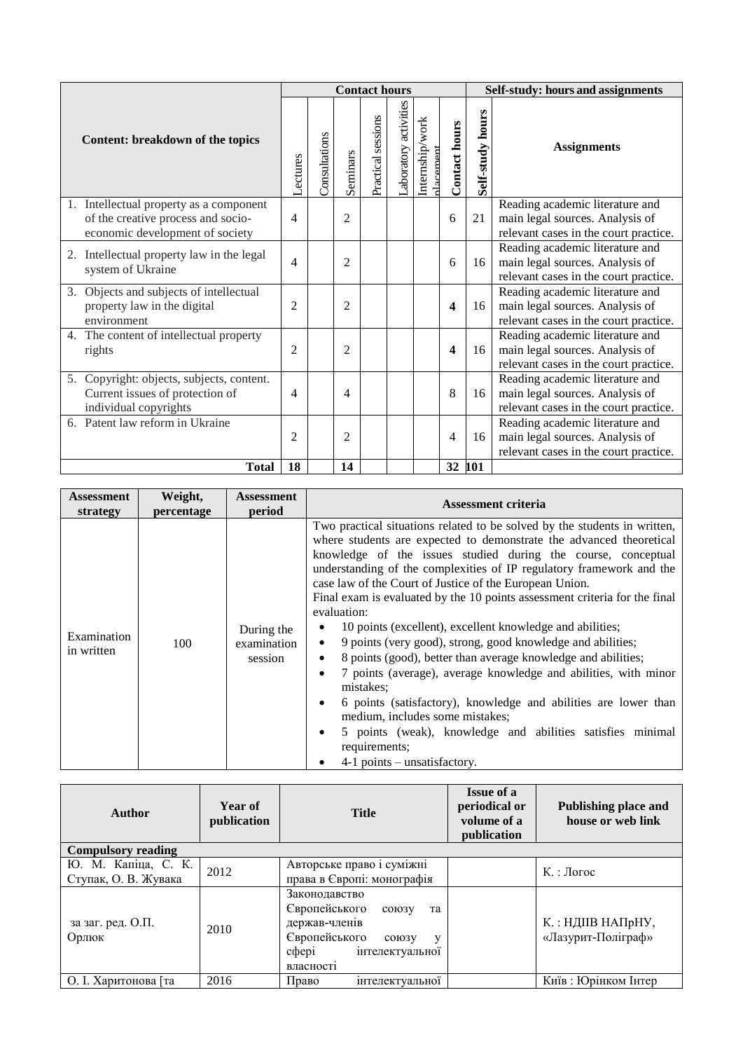|                                                                                                                  |                          | <b>Contact hours</b> |                |                    |                      |                             |                      | Self-study: hours and assignments |                                                                                                             |  |
|------------------------------------------------------------------------------------------------------------------|--------------------------|----------------------|----------------|--------------------|----------------------|-----------------------------|----------------------|-----------------------------------|-------------------------------------------------------------------------------------------------------------|--|
| Content: breakdown of the topics                                                                                 | Lectures                 | Consultations        | Seminars       | Practical sessions | aboratory activities | Internship/work<br>dacement | <b>Contact hours</b> | Self-study hours                  | <b>Assignments</b>                                                                                          |  |
| 1. Intellectual property as a component<br>of the creative process and socio-<br>economic development of society | 4                        |                      | $\overline{2}$ |                    |                      |                             | 6                    | 21                                | Reading academic literature and<br>main legal sources. Analysis of<br>relevant cases in the court practice. |  |
| 2. Intellectual property law in the legal<br>system of Ukraine                                                   | 4                        |                      | 2              |                    |                      |                             | 6                    | 16                                | Reading academic literature and<br>main legal sources. Analysis of<br>relevant cases in the court practice. |  |
| 3. Objects and subjects of intellectual<br>property law in the digital<br>environment                            | 2                        |                      | $\overline{2}$ |                    |                      |                             | 4                    | 16                                | Reading academic literature and<br>main legal sources. Analysis of<br>relevant cases in the court practice. |  |
| The content of intellectual property<br>4.<br>rights                                                             | $\overline{2}$           |                      | $\overline{2}$ |                    |                      |                             | 4                    | 16                                | Reading academic literature and<br>main legal sources. Analysis of<br>relevant cases in the court practice. |  |
| 5. Copyright: objects, subjects, content.<br>Current issues of protection of<br>individual copyrights            | $\overline{\mathcal{A}}$ |                      | 4              |                    |                      |                             | 8                    | 16                                | Reading academic literature and<br>main legal sources. Analysis of<br>relevant cases in the court practice. |  |
| 6. Patent law reform in Ukraine                                                                                  | $\overline{2}$           |                      | 2              |                    |                      |                             | 4                    | 16                                | Reading academic literature and<br>main legal sources. Analysis of<br>relevant cases in the court practice. |  |
| <b>Total</b>                                                                                                     | 18                       |                      | 14             |                    |                      |                             | 32                   | 101                               |                                                                                                             |  |

| <b>Assessment</b>         | Weight,    | Assessment                           | <b>Assessment criteria</b>                                                                                                                                                                                                                                                                                                                                                                                                                                                                                                                                                                                                                                                                                                                                                                                                                                                                                                                                                                                          |  |
|---------------------------|------------|--------------------------------------|---------------------------------------------------------------------------------------------------------------------------------------------------------------------------------------------------------------------------------------------------------------------------------------------------------------------------------------------------------------------------------------------------------------------------------------------------------------------------------------------------------------------------------------------------------------------------------------------------------------------------------------------------------------------------------------------------------------------------------------------------------------------------------------------------------------------------------------------------------------------------------------------------------------------------------------------------------------------------------------------------------------------|--|
| strategy                  | percentage | period                               |                                                                                                                                                                                                                                                                                                                                                                                                                                                                                                                                                                                                                                                                                                                                                                                                                                                                                                                                                                                                                     |  |
| Examination<br>in written | 100        | During the<br>examination<br>session | Two practical situations related to be solved by the students in written,<br>where students are expected to demonstrate the advanced theoretical<br>knowledge of the issues studied during the course, conceptual<br>understanding of the complexities of IP regulatory framework and the<br>case law of the Court of Justice of the European Union.<br>Final exam is evaluated by the 10 points assessment criteria for the final<br>evaluation:<br>10 points (excellent), excellent knowledge and abilities;<br>٠<br>9 points (very good), strong, good knowledge and abilities;<br>$\bullet$<br>8 points (good), better than average knowledge and abilities;<br>٠<br>7 points (average), average knowledge and abilities, with minor<br>$\bullet$<br>mistakes:<br>6 points (satisfactory), knowledge and abilities are lower than<br>$\bullet$<br>medium, includes some mistakes;<br>5 points (weak), knowledge and abilities satisfies minimal<br>$\bullet$<br>requirements;<br>$4-1$ points – unsatisfactory. |  |

| Author                                      | Year of<br>publication | <b>Title</b>                                                                                                                                        | <b>Issue of a</b><br>periodical or<br>volume of a<br>publication | <b>Publishing place and</b><br>house or web link |  |  |  |  |
|---------------------------------------------|------------------------|-----------------------------------------------------------------------------------------------------------------------------------------------------|------------------------------------------------------------------|--------------------------------------------------|--|--|--|--|
| <b>Compulsory reading</b>                   |                        |                                                                                                                                                     |                                                                  |                                                  |  |  |  |  |
| Ю. М. Капіца, С. К.<br>Ступак, О. В. Жувака | 2012                   | Авторське право і суміжні<br>права в Європі: монографія                                                                                             |                                                                  | $K_{\cdot}$ : Логос                              |  |  |  |  |
| за заг. ред. О.П.<br>Орлюк                  | 2010                   | Законодавство<br>Європейського<br>союзу<br>та<br>держав-членів<br>Європейського<br>$CO$ $IO$ $3$ $V$<br>V<br>cobepi<br>інтелектуальної<br>власності |                                                                  | К.: НДІІВ НАПрНУ,<br>«Лазурит-Поліграф»          |  |  |  |  |
| О. І. Харитонова [та                        | 2016                   | Право<br><b>ІНТ</b> електуальної                                                                                                                    |                                                                  | Київ: Юрінком Інтер                              |  |  |  |  |